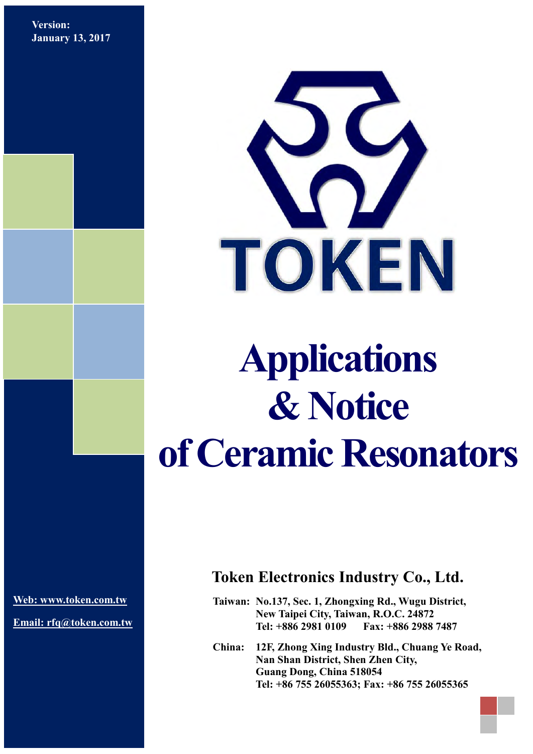**Version: January 13, 2017**



# **Applications & Notice of Ceramic Resonators**

**[Web: www.token.com.tw](http://www.token.com.tw/)**

**Email: rfq@token.com.tw**

## **Token Electronics Industry Co., Ltd.**

**Taiwan: No.137, Sec. 1, Zhongxing Rd., Wugu District, New Taipei City, Taiwan, R.O.C. 24872 Tel: +886 2981 0109 Fax: +886 2988 7487**

**China: 12F, Zhong Xing Industry Bld., Chuang Ye Road, Nan Shan District, Shen Zhen City, Guang Dong, China 518054 Tel: +86 755 26055363; Fax: +86 755 26055365**